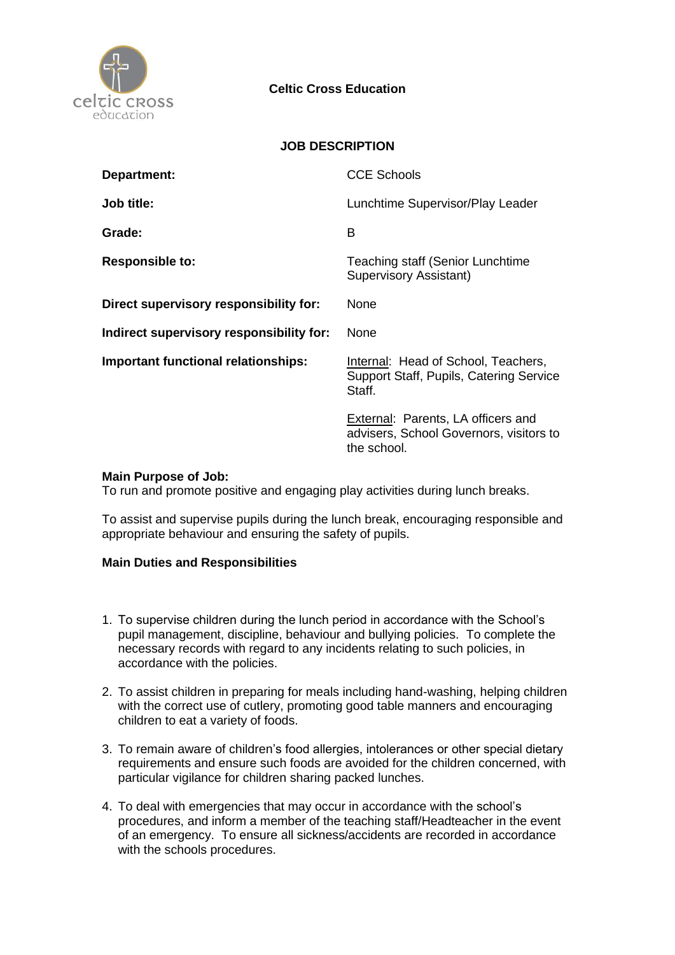

## **Celtic Cross Education**

### **JOB DESCRIPTION**

| Department:                                | <b>CCE Schools</b>                                                                           |
|--------------------------------------------|----------------------------------------------------------------------------------------------|
| Job title:                                 | Lunchtime Supervisor/Play Leader                                                             |
| Grade:                                     | B                                                                                            |
| <b>Responsible to:</b>                     | Teaching staff (Senior Lunchtime<br>Supervisory Assistant)                                   |
| Direct supervisory responsibility for:     | <b>None</b>                                                                                  |
| Indirect supervisory responsibility for:   | None                                                                                         |
| <b>Important functional relationships:</b> | Internal: Head of School, Teachers,<br>Support Staff, Pupils, Catering Service<br>Staff.     |
|                                            | External: Parents, LA officers and<br>advisers, School Governors, visitors to<br>the school. |

### **Main Purpose of Job:**

To run and promote positive and engaging play activities during lunch breaks.

To assist and supervise pupils during the lunch break, encouraging responsible and appropriate behaviour and ensuring the safety of pupils.

#### **Main Duties and Responsibilities**

- 1. To supervise children during the lunch period in accordance with the School's pupil management, discipline, behaviour and bullying policies. To complete the necessary records with regard to any incidents relating to such policies, in accordance with the policies.
- 2. To assist children in preparing for meals including hand-washing, helping children with the correct use of cutlery, promoting good table manners and encouraging children to eat a variety of foods.
- 3. To remain aware of children's food allergies, intolerances or other special dietary requirements and ensure such foods are avoided for the children concerned, with particular vigilance for children sharing packed lunches.
- 4. To deal with emergencies that may occur in accordance with the school's procedures, and inform a member of the teaching staff/Headteacher in the event of an emergency. To ensure all sickness/accidents are recorded in accordance with the schools procedures.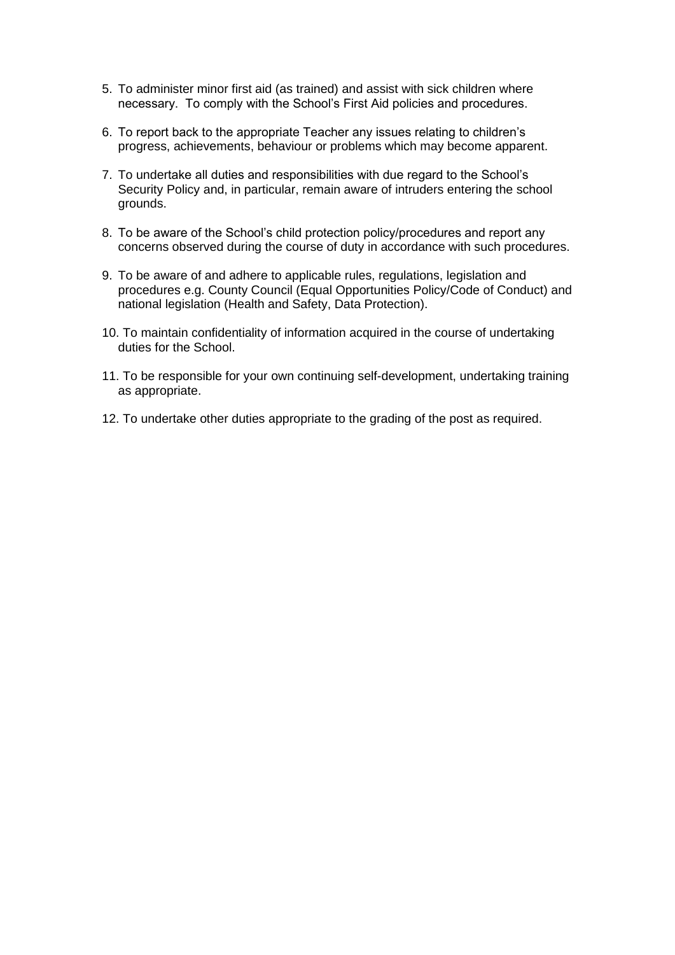- 5. To administer minor first aid (as trained) and assist with sick children where necessary. To comply with the School's First Aid policies and procedures.
- 6. To report back to the appropriate Teacher any issues relating to children's progress, achievements, behaviour or problems which may become apparent.
- 7. To undertake all duties and responsibilities with due regard to the School's Security Policy and, in particular, remain aware of intruders entering the school grounds.
- 8. To be aware of the School's child protection policy/procedures and report any concerns observed during the course of duty in accordance with such procedures.
- 9. To be aware of and adhere to applicable rules, regulations, legislation and procedures e.g. County Council (Equal Opportunities Policy/Code of Conduct) and national legislation (Health and Safety, Data Protection).
- 10. To maintain confidentiality of information acquired in the course of undertaking duties for the School.
- 11. To be responsible for your own continuing self-development, undertaking training as appropriate.
- 12. To undertake other duties appropriate to the grading of the post as required.